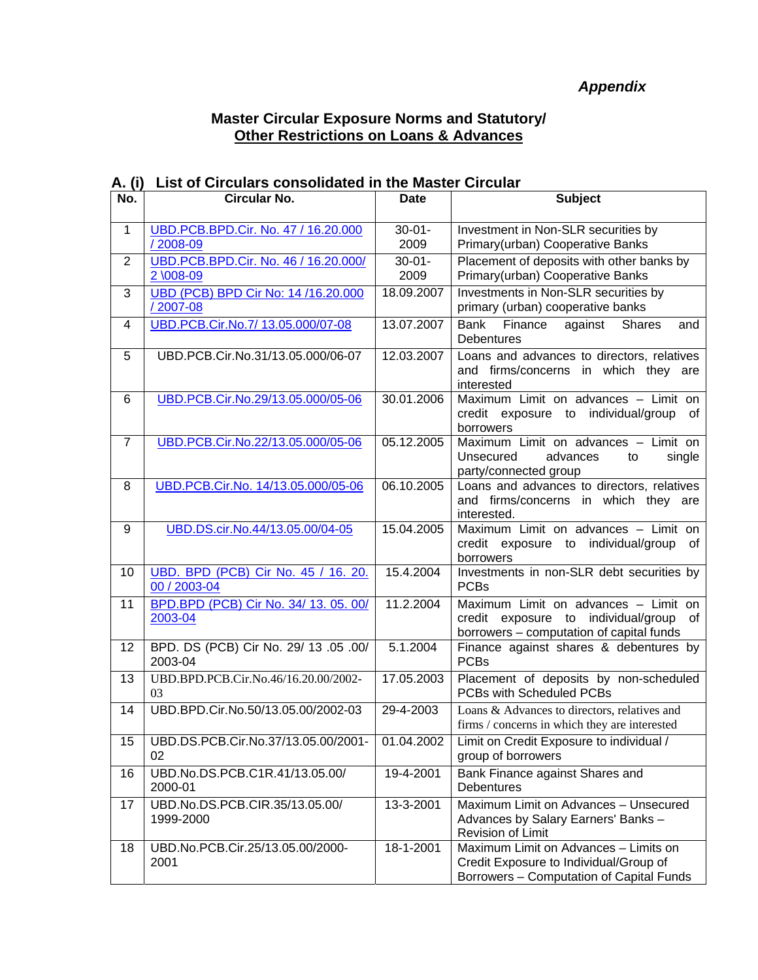## *Appendix*

Borrowers – Computation of Capital Funds

## **Master Circular Exposure Norms and Statutory/ Other Restrictions on Loans & Advances**

| No.              | Circular No.                                         | <b>Date</b>         | <b>Subject</b>                                                                                                             |
|------------------|------------------------------------------------------|---------------------|----------------------------------------------------------------------------------------------------------------------------|
| $\mathbf{1}$     | UBD.PCB.BPD.Cir. No. 47 / 16.20.000<br>/2008-09      | $30 - 01 -$<br>2009 | Investment in Non-SLR securities by<br>Primary(urban) Cooperative Banks                                                    |
| 2                | UBD.PCB.BPD.Cir. No. 46 / 16.20.000/<br>2 \008-09    | $30 - 01 -$<br>2009 | Placement of deposits with other banks by<br>Primary(urban) Cooperative Banks                                              |
| 3                | UBD (PCB) BPD Cir No: 14 /16.20.000<br>/ 2007-08     | 18.09.2007          | Investments in Non-SLR securities by<br>primary (urban) cooperative banks                                                  |
| 4                | UBD.PCB.Cir.No.7/ 13.05.000/07-08                    | 13.07.2007          | <b>Shares</b><br>Bank<br>Finance<br>against<br>and<br><b>Debentures</b>                                                    |
| 5                | UBD.PCB.Cir.No.31/13.05.000/06-07                    | 12.03.2007          | Loans and advances to directors, relatives<br>and firms/concerns in which they are<br>interested                           |
| 6                | UBD.PCB.Cir.No.29/13.05.000/05-06                    | 30.01.2006          | Maximum Limit on advances - Limit on<br>credit exposure to individual/group of<br>borrowers                                |
| $\overline{7}$   | UBD.PCB.Cir.No.22/13.05.000/05-06                    | 05.12.2005          | Maximum Limit on advances - Limit on<br>Unsecured<br>advances<br>single<br>to<br>party/connected group                     |
| 8                | UBD.PCB.Cir.No. 14/13.05.000/05-06                   | 06.10.2005          | Loans and advances to directors, relatives<br>and firms/concerns in which they are<br>interested.                          |
| 9                | UBD.DS.cir.No.44/13.05.00/04-05                      | 15.04.2005          | Maximum Limit on advances - Limit on<br>credit exposure to individual/group<br>of<br>borrowers                             |
| 10               | UBD. BPD (PCB) Cir No. 45 / 16. 20.<br>00 / 2003-04  | 15.4.2004           | Investments in non-SLR debt securities by<br><b>PCBs</b>                                                                   |
| 11               | BPD.BPD (PCB) Cir No. 34/ 13. 05. 00/<br>2003-04     | 11.2.2004           | Maximum Limit on advances - Limit on<br>credit exposure to individual/group of<br>borrowers - computation of capital funds |
| 12               | BPD. DS (PCB) Cir No. 29/ 13 .05 .00/<br>2003-04     | 5.1.2004            | Finance against shares & debentures by<br><b>PCBs</b>                                                                      |
| 13               | UBD.BPD.PCB.Cir.No.46/16.20.00/2002-<br>03           | 17.05.2003          | Placement of deposits by non-scheduled<br>PCBs with Scheduled PCBs                                                         |
| 14               | UBD.BPD.Cir.No.50/13.05.00/2002-03                   | 29-4-2003           | Loans & Advances to directors, relatives and<br>firms / concerns in which they are interested                              |
| 15 <sub>15</sub> | UBD.DS.PCB.Cir.No.37/13.05.00/2001- 01.04.2002<br>02 |                     | Limit on Credit Exposure to individual /<br>group of borrowers                                                             |
| 16               | UBD.No.DS.PCB.C1R.41/13.05.00/<br>2000-01            | 19-4-2001           | Bank Finance against Shares and<br><b>Debentures</b>                                                                       |
| 17               | UBD.No.DS.PCB.CIR.35/13.05.00/<br>1999-2000          | 13-3-2001           | Maximum Limit on Advances - Unsecured<br>Advances by Salary Earners' Banks -<br>Revision of Limit                          |
| 18               | UBD.No.PCB.Cir.25/13.05.00/2000-<br>2001             | 18-1-2001           | Maximum Limit on Advances - Limits on<br>Credit Exposure to Individual/Group of                                            |

## **A. (i) List of Circulars consolidated in the Master Circular**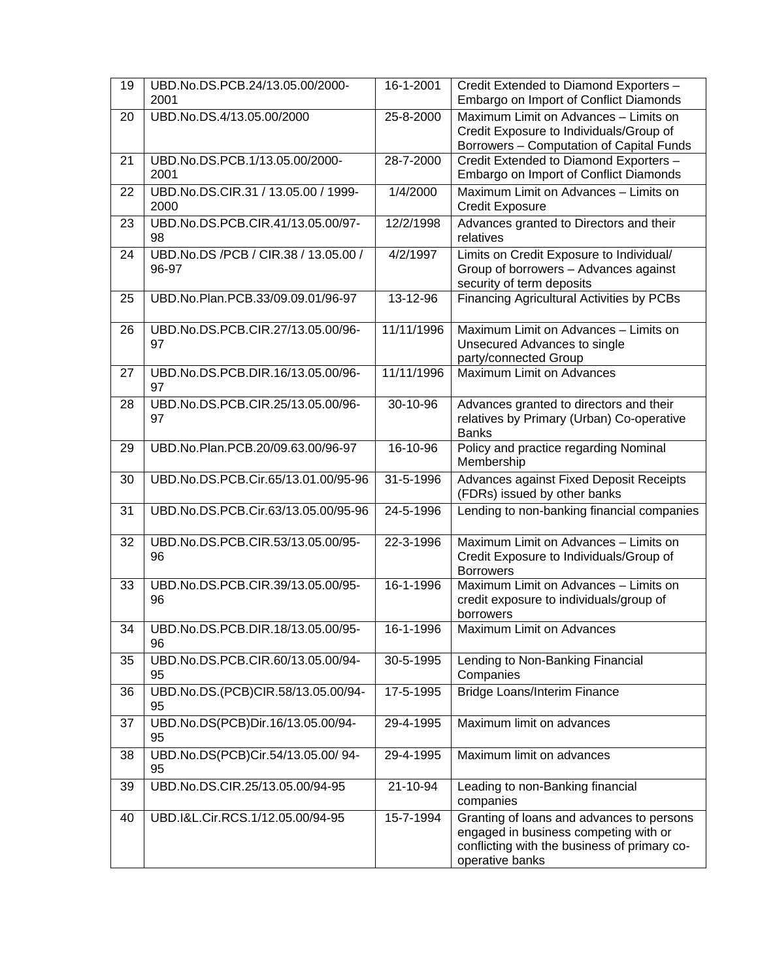| 19 | UBD.No.DS.PCB.24/13.05.00/2000-<br>2001       | 16-1-2001  | Credit Extended to Diamond Exporters -<br>Embargo on Import of Conflict Diamonds                                                                      |
|----|-----------------------------------------------|------------|-------------------------------------------------------------------------------------------------------------------------------------------------------|
| 20 | UBD.No.DS.4/13.05.00/2000                     | 25-8-2000  | Maximum Limit on Advances - Limits on<br>Credit Exposure to Individuals/Group of<br>Borrowers - Computation of Capital Funds                          |
| 21 | UBD.No.DS.PCB.1/13.05.00/2000-<br>2001        | 28-7-2000  | Credit Extended to Diamond Exporters -<br>Embargo on Import of Conflict Diamonds                                                                      |
| 22 | UBD.No.DS.CIR.31 / 13.05.00 / 1999-<br>2000   | 1/4/2000   | Maximum Limit on Advances - Limits on<br><b>Credit Exposure</b>                                                                                       |
| 23 | UBD.No.DS.PCB.CIR.41/13.05.00/97-<br>98       | 12/2/1998  | Advances granted to Directors and their<br>relatives                                                                                                  |
| 24 | UBD.No.DS /PCB / CIR.38 / 13.05.00 /<br>96-97 | 4/2/1997   | Limits on Credit Exposure to Individual/<br>Group of borrowers - Advances against<br>security of term deposits                                        |
| 25 | UBD.No.Plan.PCB.33/09.09.01/96-97             | 13-12-96   | Financing Agricultural Activities by PCBs                                                                                                             |
| 26 | UBD.No.DS.PCB.CIR.27/13.05.00/96-<br>97       | 11/11/1996 | Maximum Limit on Advances - Limits on<br>Unsecured Advances to single<br>party/connected Group                                                        |
| 27 | UBD.No.DS.PCB.DIR.16/13.05.00/96-<br>97       | 11/11/1996 | Maximum Limit on Advances                                                                                                                             |
| 28 | UBD.No.DS.PCB.CIR.25/13.05.00/96-<br>97       | 30-10-96   | Advances granted to directors and their<br>relatives by Primary (Urban) Co-operative<br><b>Banks</b>                                                  |
| 29 | UBD.No.Plan.PCB.20/09.63.00/96-97             | 16-10-96   | Policy and practice regarding Nominal<br>Membership                                                                                                   |
| 30 | UBD.No.DS.PCB.Cir.65/13.01.00/95-96           | 31-5-1996  | Advances against Fixed Deposit Receipts<br>(FDRs) issued by other banks                                                                               |
| 31 | UBD.No.DS.PCB.Cir.63/13.05.00/95-96           | 24-5-1996  | Lending to non-banking financial companies                                                                                                            |
| 32 | UBD.No.DS.PCB.CIR.53/13.05.00/95-<br>96       | 22-3-1996  | Maximum Limit on Advances - Limits on<br>Credit Exposure to Individuals/Group of<br><b>Borrowers</b>                                                  |
| 33 | UBD.No.DS.PCB.CIR.39/13.05.00/95-<br>96       | 16-1-1996  | Maximum Limit on Advances - Limits on<br>credit exposure to individuals/group of<br>borrowers                                                         |
| 34 | UBD.No.DS.PCB.DIR.18/13.05.00/95-<br>96       | 16-1-1996  | Maximum Limit on Advances                                                                                                                             |
| 35 | UBD.No.DS.PCB.CIR.60/13.05.00/94-<br>95       | 30-5-1995  | Lending to Non-Banking Financial<br>Companies                                                                                                         |
| 36 | UBD.No.DS.(PCB)CIR.58/13.05.00/94-<br>95      | 17-5-1995  | <b>Bridge Loans/Interim Finance</b>                                                                                                                   |
| 37 | UBD.No.DS(PCB)Dir.16/13.05.00/94-<br>95       | 29-4-1995  | Maximum limit on advances                                                                                                                             |
| 38 | UBD.No.DS(PCB)Cir.54/13.05.00/94-<br>95       | 29-4-1995  | Maximum limit on advances                                                                                                                             |
| 39 | UBD.No.DS.CIR.25/13.05.00/94-95               | 21-10-94   | Leading to non-Banking financial<br>companies                                                                                                         |
| 40 | UBD.I&L.Cir.RCS.1/12.05.00/94-95              | 15-7-1994  | Granting of loans and advances to persons<br>engaged in business competing with or<br>conflicting with the business of primary co-<br>operative banks |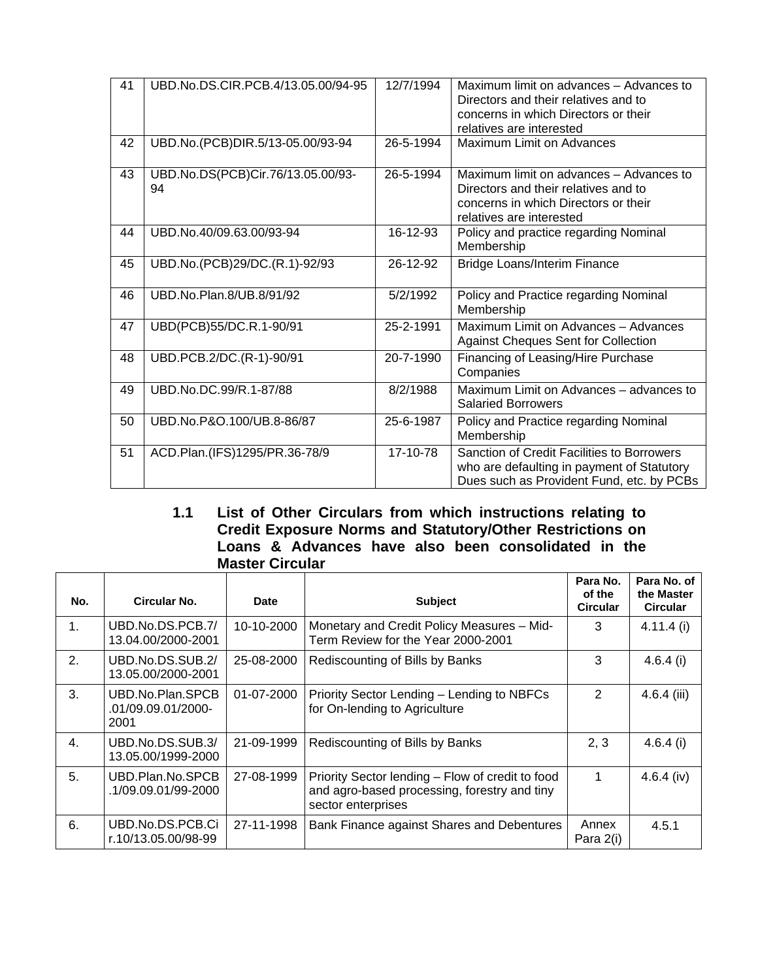| 41 | UBD.No.DS.CIR.PCB.4/13.05.00/94-95      | 12/7/1994 | Maximum limit on advances - Advances to<br>Directors and their relatives and to<br>concerns in which Directors or their<br>relatives are interested |
|----|-----------------------------------------|-----------|-----------------------------------------------------------------------------------------------------------------------------------------------------|
| 42 | UBD.No.(PCB)DIR.5/13-05.00/93-94        | 26-5-1994 | <b>Maximum Limit on Advances</b>                                                                                                                    |
| 43 | UBD.No.DS(PCB)Cir.76/13.05.00/93-<br>94 | 26-5-1994 | Maximum limit on advances - Advances to<br>Directors and their relatives and to<br>concerns in which Directors or their<br>relatives are interested |
| 44 | UBD.No.40/09.63.00/93-94                | 16-12-93  | Policy and practice regarding Nominal<br>Membership                                                                                                 |
| 45 | UBD.No.(PCB)29/DC.(R.1)-92/93           | 26-12-92  | <b>Bridge Loans/Interim Finance</b>                                                                                                                 |
| 46 | UBD.No.Plan.8/UB.8/91/92                | 5/2/1992  | Policy and Practice regarding Nominal<br>Membership                                                                                                 |
| 47 | UBD(PCB)55/DC.R.1-90/91                 | 25-2-1991 | Maximum Limit on Advances - Advances<br><b>Against Cheques Sent for Collection</b>                                                                  |
| 48 | UBD.PCB.2/DC.(R-1)-90/91                | 20-7-1990 | Financing of Leasing/Hire Purchase<br>Companies                                                                                                     |
| 49 | UBD.No.DC.99/R.1-87/88                  | 8/2/1988  | Maximum Limit on Advances - advances to<br><b>Salaried Borrowers</b>                                                                                |
| 50 | UBD.No.P&O.100/UB.8-86/87               | 25-6-1987 | Policy and Practice regarding Nominal<br>Membership                                                                                                 |
| 51 | ACD.Plan.(IFS)1295/PR.36-78/9           | 17-10-78  | Sanction of Credit Facilities to Borrowers<br>who are defaulting in payment of Statutory<br>Dues such as Provident Fund, etc. by PCBs               |

## **1.1 List of Other Circulars from which instructions relating to Credit Exposure Norms and Statutory/Other Restrictions on Loans & Advances have also been consolidated in the Master Circular**

| No. | Circular No.                                   | <b>Date</b> | <b>Subject</b>                                                                                                         | Para No.<br>of the<br><b>Circular</b> | Para No. of<br>the Master<br><b>Circular</b> |
|-----|------------------------------------------------|-------------|------------------------------------------------------------------------------------------------------------------------|---------------------------------------|----------------------------------------------|
| 1.  | UBD.No.DS.PCB.7/<br>13.04.00/2000-2001         | 10-10-2000  | Monetary and Credit Policy Measures - Mid-<br>Term Review for the Year 2000-2001                                       | 3                                     | $4.11.4$ (i)                                 |
| 2.  | UBD.No.DS.SUB.2/<br>13.05.00/2000-2001         | 25-08-2000  | Rediscounting of Bills by Banks                                                                                        | 3                                     | 4.6.4(i)                                     |
| 3.  | UBD.No.Plan.SPCB<br>.01/09.09.01/2000-<br>2001 | 01-07-2000  | Priority Sector Lending - Lending to NBFCs<br>for On-lending to Agriculture                                            | 2                                     | $4.6.4$ (iii)                                |
| 4.  | UBD.No.DS.SUB.3/<br>13.05.00/1999-2000         | 21-09-1999  | Rediscounting of Bills by Banks                                                                                        | 2, 3                                  | $4.6.4$ (i)                                  |
| 5.  | UBD.Plan.No.SPCB<br>.1/09.09.01/99-2000        | 27-08-1999  | Priority Sector lending – Flow of credit to food<br>and agro-based processing, forestry and tiny<br>sector enterprises | 1                                     | 4.6.4 (iv)                                   |
| 6.  | UBD.No.DS.PCB.Ci<br>r.10/13.05.00/98-99        | 27-11-1998  | Bank Finance against Shares and Debentures                                                                             | Annex<br>Para 2(i)                    | 4.5.1                                        |